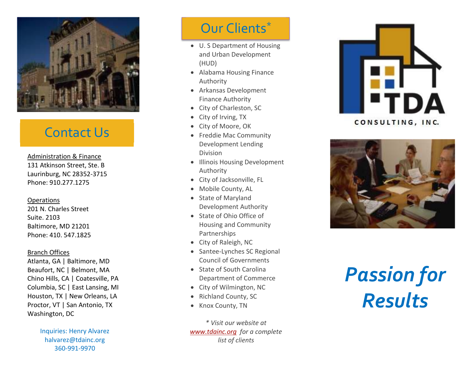

## Contact Us

Administration & Finance 131 Atkinson Street, Ste. B Laurinburg, NC 28352-3715 Phone: 910.277.1275

## **Operations**

201 N. Charles Street Suite. 2103 Baltimore, MD 21201 Phone: 410. 547.1825

## Branch Offices

Atlanta, GA | Baltimore, MD Beaufort, NC | Belmont, MA Chino Hills, CA | Coatesville, PA Columbia, SC | East Lansing, MI Houston, TX | New Orleans, LA Proctor, VT | San Antonio, TX Washington, DC

> Inquiries: Henry Alvarez halvarez@tdainc.org 360-991-9970

# Our Clients\*

- U. S Department of Housing and Urban Development (HUD)
- Alabama Housing Finance Authority
- Arkansas Development Finance Authority
- City of Charleston, SC
- City of Irving, TX
- City of Moore, OK
- Freddie Mac Community Development Lending Division
- Illinois Housing Development Authority
- City of Jacksonville, FL
- Mobile County, AL
- State of Maryland Development Authority
- State of Ohio Office of Housing and Community Partnerships
- City of Raleigh, NC
- Santee-Lynches SC Regional Council of Governments
- State of South Carolina Department of Commerce
- City of Wilmington, NC
- Richland County, SC
- Knox County, TN

*\* Visit our website at www.tdainc.org for a complete list of clients* 





# *Passion for Results*